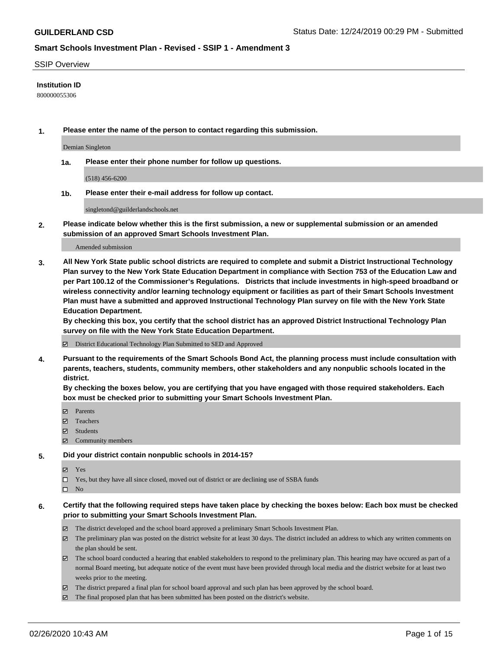#### SSIP Overview

#### **Institution ID**

800000055306

**1. Please enter the name of the person to contact regarding this submission.**

Demian Singleton

**1a. Please enter their phone number for follow up questions.**

(518) 456-6200

**1b. Please enter their e-mail address for follow up contact.**

singletond@guilderlandschools.net

**2. Please indicate below whether this is the first submission, a new or supplemental submission or an amended submission of an approved Smart Schools Investment Plan.**

#### Amended submission

**3. All New York State public school districts are required to complete and submit a District Instructional Technology Plan survey to the New York State Education Department in compliance with Section 753 of the Education Law and per Part 100.12 of the Commissioner's Regulations. Districts that include investments in high-speed broadband or wireless connectivity and/or learning technology equipment or facilities as part of their Smart Schools Investment Plan must have a submitted and approved Instructional Technology Plan survey on file with the New York State Education Department.** 

**By checking this box, you certify that the school district has an approved District Instructional Technology Plan survey on file with the New York State Education Department.**

District Educational Technology Plan Submitted to SED and Approved

**4. Pursuant to the requirements of the Smart Schools Bond Act, the planning process must include consultation with parents, teachers, students, community members, other stakeholders and any nonpublic schools located in the district.** 

**By checking the boxes below, you are certifying that you have engaged with those required stakeholders. Each box must be checked prior to submitting your Smart Schools Investment Plan.**

- **マ** Parents
- Teachers
- Students
- Community members

#### **5. Did your district contain nonpublic schools in 2014-15?**

**冈** Yes

Yes, but they have all since closed, moved out of district or are declining use of SSBA funds

 $\square$  No

- **6. Certify that the following required steps have taken place by checking the boxes below: Each box must be checked prior to submitting your Smart Schools Investment Plan.**
	- The district developed and the school board approved a preliminary Smart Schools Investment Plan.
	- $\boxtimes$  The preliminary plan was posted on the district website for at least 30 days. The district included an address to which any written comments on the plan should be sent.
	- $\boxtimes$  The school board conducted a hearing that enabled stakeholders to respond to the preliminary plan. This hearing may have occured as part of a normal Board meeting, but adequate notice of the event must have been provided through local media and the district website for at least two weeks prior to the meeting.
	- The district prepared a final plan for school board approval and such plan has been approved by the school board.
	- $\boxtimes$  The final proposed plan that has been submitted has been posted on the district's website.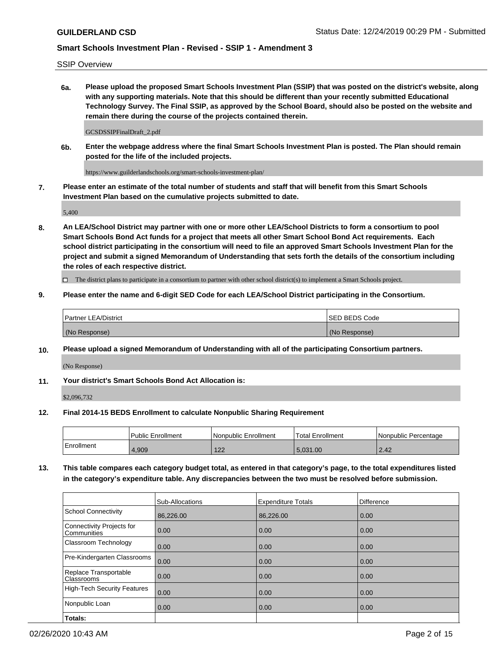SSIP Overview

**6a. Please upload the proposed Smart Schools Investment Plan (SSIP) that was posted on the district's website, along with any supporting materials. Note that this should be different than your recently submitted Educational Technology Survey. The Final SSIP, as approved by the School Board, should also be posted on the website and remain there during the course of the projects contained therein.**

GCSDSSIPFinalDraft\_2.pdf

**6b. Enter the webpage address where the final Smart Schools Investment Plan is posted. The Plan should remain posted for the life of the included projects.**

https://www.guilderlandschools.org/smart-schools-investment-plan/

**7. Please enter an estimate of the total number of students and staff that will benefit from this Smart Schools Investment Plan based on the cumulative projects submitted to date.**

5,400

**8. An LEA/School District may partner with one or more other LEA/School Districts to form a consortium to pool Smart Schools Bond Act funds for a project that meets all other Smart School Bond Act requirements. Each school district participating in the consortium will need to file an approved Smart Schools Investment Plan for the project and submit a signed Memorandum of Understanding that sets forth the details of the consortium including the roles of each respective district.**

 $\Box$  The district plans to participate in a consortium to partner with other school district(s) to implement a Smart Schools project.

### **9. Please enter the name and 6-digit SED Code for each LEA/School District participating in the Consortium.**

| Partner LEA/District | <b>ISED BEDS Code</b> |
|----------------------|-----------------------|
| (No Response)        | (No Response)         |

### **10. Please upload a signed Memorandum of Understanding with all of the participating Consortium partners.**

(No Response)

#### **11. Your district's Smart Schools Bond Act Allocation is:**

\$2,096,732

#### **12. Final 2014-15 BEDS Enrollment to calculate Nonpublic Sharing Requirement**

|            | Public Enrollment | Nonpublic Enrollment | Total Enrollment | l Nonpublic Percentage |
|------------|-------------------|----------------------|------------------|------------------------|
| Enrollment | 1,909             | 100<br>122           | 5.031.00         | 2.42                   |

**13. This table compares each category budget total, as entered in that category's page, to the total expenditures listed in the category's expenditure table. Any discrepancies between the two must be resolved before submission.**

|                                                 | Sub-Allocations | <b>Expenditure Totals</b> | Difference |
|-------------------------------------------------|-----------------|---------------------------|------------|
| <b>School Connectivity</b>                      | 86,226.00       | 86,226.00                 | 0.00       |
| <b>Connectivity Projects for</b><br>Communities | 0.00            | 0.00                      | 0.00       |
| Classroom Technology                            | 0.00            | 0.00                      | 0.00       |
| Pre-Kindergarten Classrooms                     | 0.00            | 0.00                      | 0.00       |
| Replace Transportable<br>Classrooms             | 0.00            | 0.00                      | 0.00       |
| <b>High-Tech Security Features</b>              | 0.00            | 0.00                      | 0.00       |
| Nonpublic Loan                                  | 0.00            | 0.00                      | 0.00       |
| Totals:                                         |                 |                           |            |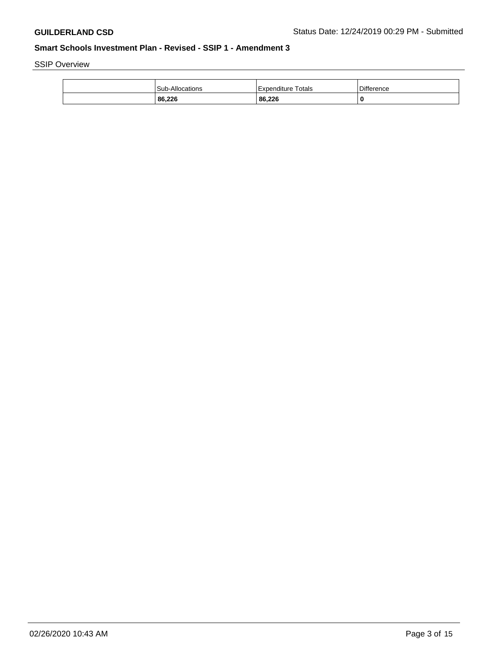SSIP Overview

| 86,226          | 86,226                |            |
|-----------------|-----------------------|------------|
| Sub-Allocations | Totals<br>Expenditure | Difference |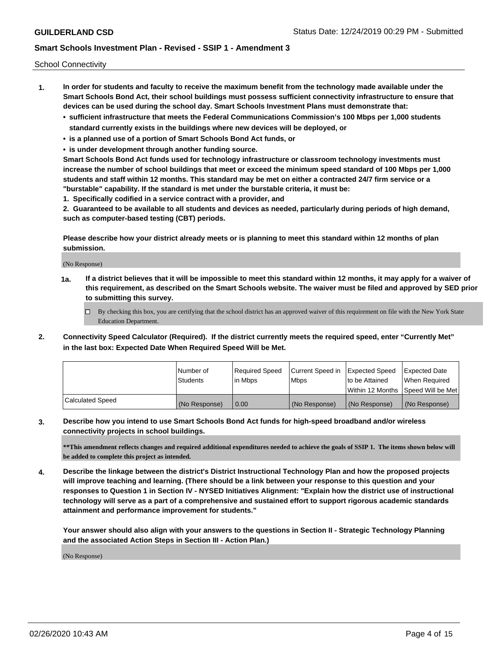School Connectivity

- **1. In order for students and faculty to receive the maximum benefit from the technology made available under the Smart Schools Bond Act, their school buildings must possess sufficient connectivity infrastructure to ensure that devices can be used during the school day. Smart Schools Investment Plans must demonstrate that:**
	- **• sufficient infrastructure that meets the Federal Communications Commission's 100 Mbps per 1,000 students standard currently exists in the buildings where new devices will be deployed, or**
	- **• is a planned use of a portion of Smart Schools Bond Act funds, or**
	- **• is under development through another funding source.**

**Smart Schools Bond Act funds used for technology infrastructure or classroom technology investments must increase the number of school buildings that meet or exceed the minimum speed standard of 100 Mbps per 1,000 students and staff within 12 months. This standard may be met on either a contracted 24/7 firm service or a "burstable" capability. If the standard is met under the burstable criteria, it must be:**

**1. Specifically codified in a service contract with a provider, and**

**2. Guaranteed to be available to all students and devices as needed, particularly during periods of high demand, such as computer-based testing (CBT) periods.**

**Please describe how your district already meets or is planning to meet this standard within 12 months of plan submission.**

(No Response)

**1a. If a district believes that it will be impossible to meet this standard within 12 months, it may apply for a waiver of this requirement, as described on the Smart Schools website. The waiver must be filed and approved by SED prior to submitting this survey.**

 $\Box$  By checking this box, you are certifying that the school district has an approved waiver of this requirement on file with the New York State Education Department.

**2. Connectivity Speed Calculator (Required). If the district currently meets the required speed, enter "Currently Met" in the last box: Expected Date When Required Speed Will be Met.**

|                  | l Number of     | Required Speed | Current Speed in | Expected Speed  | Expected Date                           |
|------------------|-----------------|----------------|------------------|-----------------|-----------------------------------------|
|                  | <b>Students</b> | In Mbps        | <b>Mbps</b>      | Ito be Attained | When Required                           |
|                  |                 |                |                  |                 | l Within 12 Months ISpeed Will be Met l |
| Calculated Speed | (No Response)   | 0.00           | (No Response)    | (No Response)   | (No Response)                           |

**3. Describe how you intend to use Smart Schools Bond Act funds for high-speed broadband and/or wireless connectivity projects in school buildings.**

**\*\*This amendment reflects changes and required additional expenditures needed to achieve the goals of SSIP 1. The items shown below will be added to complete this project as intended.**

**4. Describe the linkage between the district's District Instructional Technology Plan and how the proposed projects will improve teaching and learning. (There should be a link between your response to this question and your responses to Question 1 in Section IV - NYSED Initiatives Alignment: "Explain how the district use of instructional technology will serve as a part of a comprehensive and sustained effort to support rigorous academic standards attainment and performance improvement for students."** 

**Your answer should also align with your answers to the questions in Section II - Strategic Technology Planning and the associated Action Steps in Section III - Action Plan.)**

(No Response)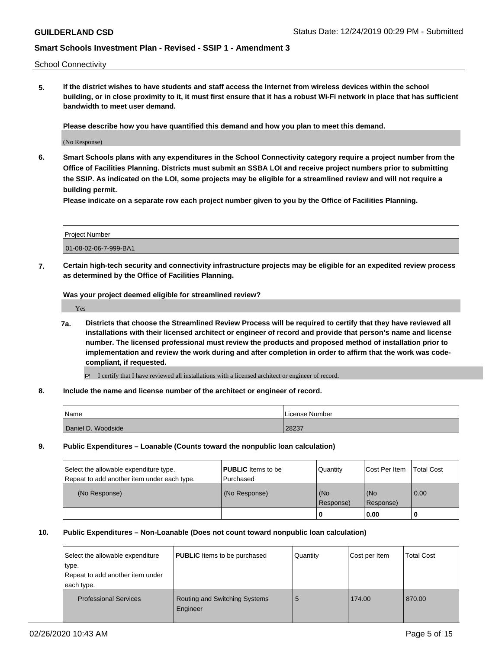School Connectivity

**5. If the district wishes to have students and staff access the Internet from wireless devices within the school building, or in close proximity to it, it must first ensure that it has a robust Wi-Fi network in place that has sufficient bandwidth to meet user demand.**

**Please describe how you have quantified this demand and how you plan to meet this demand.**

(No Response)

**6. Smart Schools plans with any expenditures in the School Connectivity category require a project number from the Office of Facilities Planning. Districts must submit an SSBA LOI and receive project numbers prior to submitting the SSIP. As indicated on the LOI, some projects may be eligible for a streamlined review and will not require a building permit.**

**Please indicate on a separate row each project number given to you by the Office of Facilities Planning.**

| Project Number        |  |
|-----------------------|--|
| 01-08-02-06-7-999-BA1 |  |

**7. Certain high-tech security and connectivity infrastructure projects may be eligible for an expedited review process as determined by the Office of Facilities Planning.**

**Was your project deemed eligible for streamlined review?**

Yes

- **7a. Districts that choose the Streamlined Review Process will be required to certify that they have reviewed all installations with their licensed architect or engineer of record and provide that person's name and license number. The licensed professional must review the products and proposed method of installation prior to implementation and review the work during and after completion in order to affirm that the work was codecompliant, if requested.**
	- I certify that I have reviewed all installations with a licensed architect or engineer of record.
- **8. Include the name and license number of the architect or engineer of record.**

| Name               | License Number |
|--------------------|----------------|
| Daniel D. Woodside | 28237          |

**9. Public Expenditures – Loanable (Counts toward the nonpublic loan calculation)**

| Select the allowable expenditure type.      | <b>PUBLIC</b> Items to be | Quantity         | Cost Per Item    | <b>Total Cost</b> |
|---------------------------------------------|---------------------------|------------------|------------------|-------------------|
| Repeat to add another item under each type. | Purchased                 |                  |                  |                   |
| (No Response)                               | (No Response)             | (No<br>Response) | (No<br>Response) | 0.00              |
|                                             |                           |                  | 0.00             |                   |

#### **10. Public Expenditures – Non-Loanable (Does not count toward nonpublic loan calculation)**

| Select the allowable expenditure<br>type.<br>Repeat to add another item under<br>each type. | <b>PUBLIC</b> Items to be purchased       | Quantity | Cost per Item | <b>Total Cost</b> |
|---------------------------------------------------------------------------------------------|-------------------------------------------|----------|---------------|-------------------|
| <b>Professional Services</b>                                                                | Routing and Switching Systems<br>Engineer | 5        | 174.00        | 870.00            |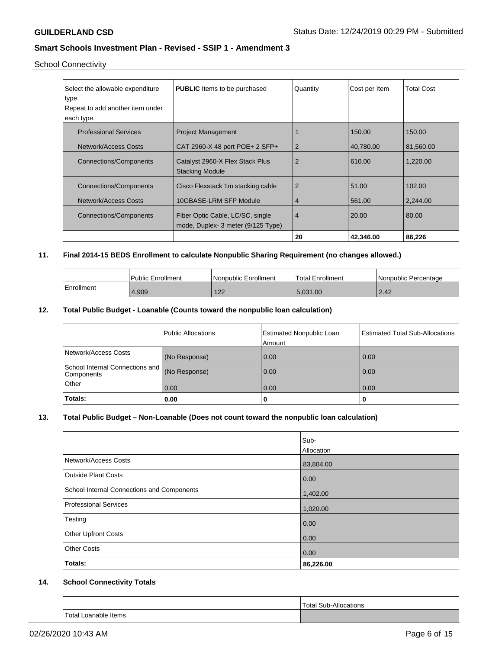## School Connectivity

| Select the allowable expenditure<br>∣type.<br>Repeat to add another item under | <b>PUBLIC</b> Items to be purchased                                   | Quantity | Cost per Item | <b>Total Cost</b> |
|--------------------------------------------------------------------------------|-----------------------------------------------------------------------|----------|---------------|-------------------|
| each type.                                                                     |                                                                       |          |               |                   |
| <b>Professional Services</b>                                                   | <b>Project Management</b>                                             |          | 150.00        | 150.00            |
| Network/Access Costs                                                           | CAT 2960-X 48 port POE+ 2 SFP+                                        | 2        | 40,780.00     | 81.560.00         |
| Connections/Components                                                         | Catalyst 2960-X Flex Stack Plus<br><b>Stacking Module</b>             | 2        | 610.00        | 1.220.00          |
| <b>Connections/Components</b>                                                  | Cisco Flexstack 1 m stacking cable                                    | 2        | 51.00         | 102.00            |
| Network/Access Costs                                                           | 10GBASE-LRM SFP Module                                                | 4        | 561.00        | 2,244.00          |
| Connections/Components                                                         | Fiber Optic Cable, LC/SC, single<br>mode, Duplex-3 meter (9/125 Type) | 4        | 20.00         | 80.00             |
|                                                                                |                                                                       | 20       | 42,346.00     | 86,226            |

## **11. Final 2014-15 BEDS Enrollment to calculate Nonpublic Sharing Requirement (no changes allowed.)**

|            | <b>Public Enrollment</b> | Nonpublic Enrollment | <b>Total Enrollment</b> | l Nonpublic Percentage |
|------------|--------------------------|----------------------|-------------------------|------------------------|
| Enrollment | 4.909                    | 122<br>122           | 5.031.00                | 2.42                   |

## **12. Total Public Budget - Loanable (Counts toward the nonpublic loan calculation)**

|                                                             | Public Allocations | <b>Estimated Nonpublic Loan</b><br>Amount | <b>Estimated Total Sub-Allocations</b> |
|-------------------------------------------------------------|--------------------|-------------------------------------------|----------------------------------------|
| Network/Access Costs                                        | (No Response)      | 0.00                                      | 0.00                                   |
| School Internal Connections and (No Response)<br>Components |                    | 0.00                                      | 0.00                                   |
| Other                                                       | 0.00               | 0.00                                      | 0.00                                   |
| Totals:                                                     | 0.00               | 0                                         | U                                      |

### **13. Total Public Budget – Non-Loanable (Does not count toward the nonpublic loan calculation)**

| Totals:                                    | 0.00<br>86,226.00 |
|--------------------------------------------|-------------------|
| <b>Other Costs</b>                         |                   |
| <b>Other Upfront Costs</b>                 | 0.00              |
| Testing                                    | 0.00              |
| <b>Professional Services</b>               | 1,020.00          |
| School Internal Connections and Components | 1,402.00          |
| <b>Outside Plant Costs</b>                 | 0.00              |
| Network/Access Costs                       | 83,804.00         |
|                                            | Allocation        |
|                                            | Sub-              |

## **14. School Connectivity Totals**

|                             | Total Sub-<br>Allocations |
|-----------------------------|---------------------------|
| <b>Total Loanable Items</b> |                           |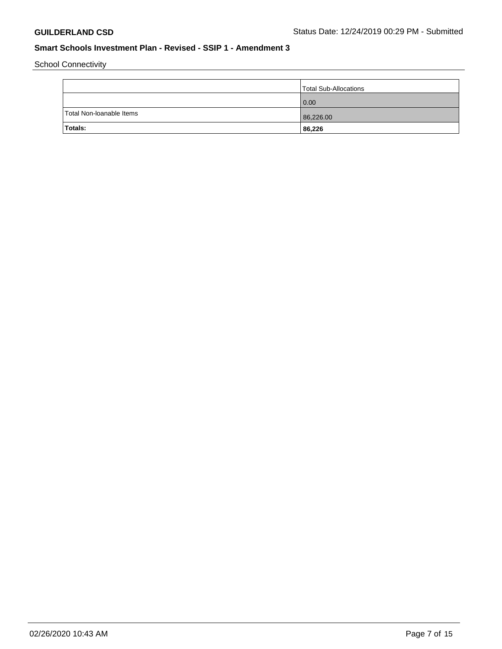School Connectivity

|                          | Total Sub-Allocations |
|--------------------------|-----------------------|
|                          | 0.00                  |
| Total Non-Ioanable Items | 86,226.00             |
| Totals:                  | 86,226                |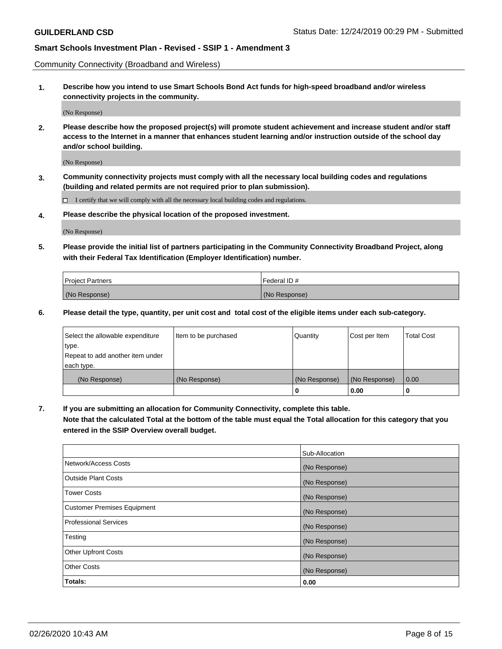Community Connectivity (Broadband and Wireless)

**1. Describe how you intend to use Smart Schools Bond Act funds for high-speed broadband and/or wireless connectivity projects in the community.**

(No Response)

**2. Please describe how the proposed project(s) will promote student achievement and increase student and/or staff access to the Internet in a manner that enhances student learning and/or instruction outside of the school day and/or school building.**

(No Response)

**3. Community connectivity projects must comply with all the necessary local building codes and regulations (building and related permits are not required prior to plan submission).**

 $\Box$  I certify that we will comply with all the necessary local building codes and regulations.

**4. Please describe the physical location of the proposed investment.**

(No Response)

**5. Please provide the initial list of partners participating in the Community Connectivity Broadband Project, along with their Federal Tax Identification (Employer Identification) number.**

| <b>Project Partners</b> | l Federal ID # |
|-------------------------|----------------|
| (No Response)           | (No Response)  |

**6. Please detail the type, quantity, per unit cost and total cost of the eligible items under each sub-category.**

| Select the allowable expenditure | Item to be purchased | Quantity      | Cost per Item | <b>Total Cost</b> |
|----------------------------------|----------------------|---------------|---------------|-------------------|
| type.                            |                      |               |               |                   |
| Repeat to add another item under |                      |               |               |                   |
| each type.                       |                      |               |               |                   |
| (No Response)                    | (No Response)        | (No Response) | (No Response) | 0.00              |
|                                  |                      | o             | 0.00          |                   |

**7. If you are submitting an allocation for Community Connectivity, complete this table.**

**Note that the calculated Total at the bottom of the table must equal the Total allocation for this category that you entered in the SSIP Overview overall budget.**

|                                    | Sub-Allocation |
|------------------------------------|----------------|
| Network/Access Costs               | (No Response)  |
| Outside Plant Costs                | (No Response)  |
| <b>Tower Costs</b>                 | (No Response)  |
| <b>Customer Premises Equipment</b> | (No Response)  |
| <b>Professional Services</b>       | (No Response)  |
| Testing                            | (No Response)  |
| <b>Other Upfront Costs</b>         | (No Response)  |
| <b>Other Costs</b>                 | (No Response)  |
| Totals:                            | 0.00           |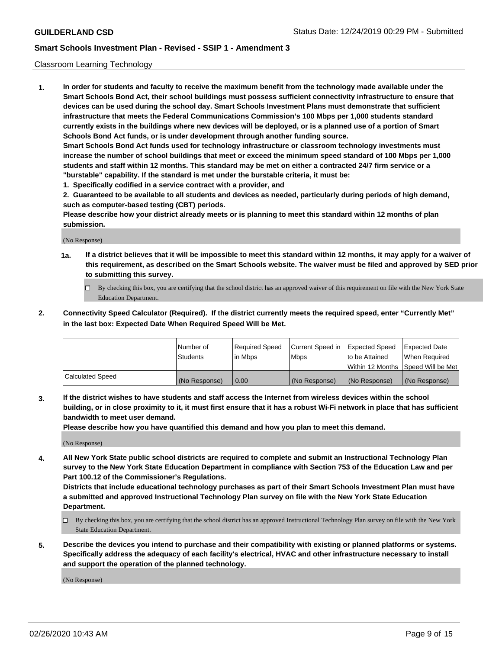#### Classroom Learning Technology

**1. In order for students and faculty to receive the maximum benefit from the technology made available under the Smart Schools Bond Act, their school buildings must possess sufficient connectivity infrastructure to ensure that devices can be used during the school day. Smart Schools Investment Plans must demonstrate that sufficient infrastructure that meets the Federal Communications Commission's 100 Mbps per 1,000 students standard currently exists in the buildings where new devices will be deployed, or is a planned use of a portion of Smart Schools Bond Act funds, or is under development through another funding source. Smart Schools Bond Act funds used for technology infrastructure or classroom technology investments must increase the number of school buildings that meet or exceed the minimum speed standard of 100 Mbps per 1,000 students and staff within 12 months. This standard may be met on either a contracted 24/7 firm service or a**

- **"burstable" capability. If the standard is met under the burstable criteria, it must be:**
- **1. Specifically codified in a service contract with a provider, and**

**2. Guaranteed to be available to all students and devices as needed, particularly during periods of high demand, such as computer-based testing (CBT) periods.**

**Please describe how your district already meets or is planning to meet this standard within 12 months of plan submission.**

(No Response)

- **1a. If a district believes that it will be impossible to meet this standard within 12 months, it may apply for a waiver of this requirement, as described on the Smart Schools website. The waiver must be filed and approved by SED prior to submitting this survey.**
	- By checking this box, you are certifying that the school district has an approved waiver of this requirement on file with the New York State Education Department.
- **2. Connectivity Speed Calculator (Required). If the district currently meets the required speed, enter "Currently Met" in the last box: Expected Date When Required Speed Will be Met.**

|                         | l Number of<br><b>Students</b> | Required Speed<br>l in Mbps | Current Speed in<br>l Mbps | Expected Speed<br>to be Attained | <b>Expected Date</b><br>When Required |
|-------------------------|--------------------------------|-----------------------------|----------------------------|----------------------------------|---------------------------------------|
|                         |                                |                             |                            |                                  | Within 12 Months  Speed Will be Met   |
| <b>Calculated Speed</b> | (No Response)                  | 0.00                        | (No Response)              | (No Response)                    | (No Response)                         |

**3. If the district wishes to have students and staff access the Internet from wireless devices within the school building, or in close proximity to it, it must first ensure that it has a robust Wi-Fi network in place that has sufficient bandwidth to meet user demand.**

**Please describe how you have quantified this demand and how you plan to meet this demand.**

(No Response)

**4. All New York State public school districts are required to complete and submit an Instructional Technology Plan survey to the New York State Education Department in compliance with Section 753 of the Education Law and per Part 100.12 of the Commissioner's Regulations.**

**Districts that include educational technology purchases as part of their Smart Schools Investment Plan must have a submitted and approved Instructional Technology Plan survey on file with the New York State Education Department.**

- By checking this box, you are certifying that the school district has an approved Instructional Technology Plan survey on file with the New York State Education Department.
- **5. Describe the devices you intend to purchase and their compatibility with existing or planned platforms or systems. Specifically address the adequacy of each facility's electrical, HVAC and other infrastructure necessary to install and support the operation of the planned technology.**

(No Response)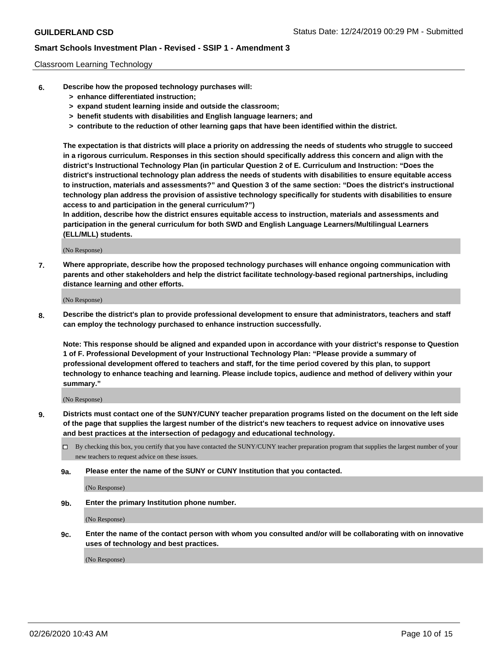#### Classroom Learning Technology

- **6. Describe how the proposed technology purchases will:**
	- **> enhance differentiated instruction;**
	- **> expand student learning inside and outside the classroom;**
	- **> benefit students with disabilities and English language learners; and**
	- **> contribute to the reduction of other learning gaps that have been identified within the district.**

**The expectation is that districts will place a priority on addressing the needs of students who struggle to succeed in a rigorous curriculum. Responses in this section should specifically address this concern and align with the district's Instructional Technology Plan (in particular Question 2 of E. Curriculum and Instruction: "Does the district's instructional technology plan address the needs of students with disabilities to ensure equitable access to instruction, materials and assessments?" and Question 3 of the same section: "Does the district's instructional technology plan address the provision of assistive technology specifically for students with disabilities to ensure access to and participation in the general curriculum?")**

**In addition, describe how the district ensures equitable access to instruction, materials and assessments and participation in the general curriculum for both SWD and English Language Learners/Multilingual Learners (ELL/MLL) students.**

(No Response)

**7. Where appropriate, describe how the proposed technology purchases will enhance ongoing communication with parents and other stakeholders and help the district facilitate technology-based regional partnerships, including distance learning and other efforts.**

(No Response)

**8. Describe the district's plan to provide professional development to ensure that administrators, teachers and staff can employ the technology purchased to enhance instruction successfully.**

**Note: This response should be aligned and expanded upon in accordance with your district's response to Question 1 of F. Professional Development of your Instructional Technology Plan: "Please provide a summary of professional development offered to teachers and staff, for the time period covered by this plan, to support technology to enhance teaching and learning. Please include topics, audience and method of delivery within your summary."**

(No Response)

- **9. Districts must contact one of the SUNY/CUNY teacher preparation programs listed on the document on the left side of the page that supplies the largest number of the district's new teachers to request advice on innovative uses and best practices at the intersection of pedagogy and educational technology.**
	- By checking this box, you certify that you have contacted the SUNY/CUNY teacher preparation program that supplies the largest number of your new teachers to request advice on these issues.
	- **9a. Please enter the name of the SUNY or CUNY Institution that you contacted.**

(No Response)

**9b. Enter the primary Institution phone number.**

(No Response)

**9c. Enter the name of the contact person with whom you consulted and/or will be collaborating with on innovative uses of technology and best practices.**

(No Response)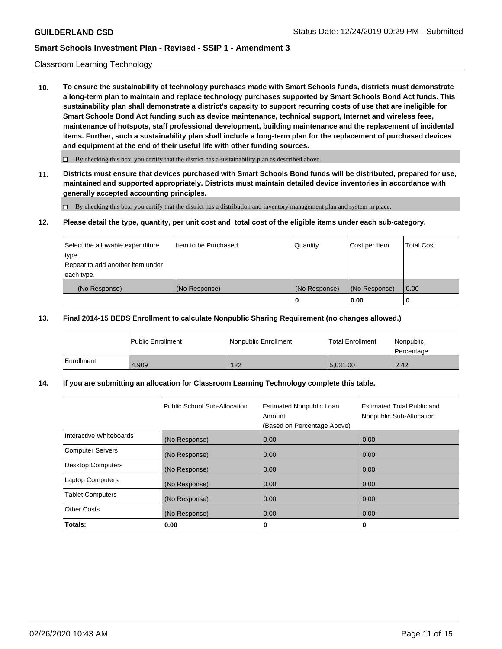#### Classroom Learning Technology

**10. To ensure the sustainability of technology purchases made with Smart Schools funds, districts must demonstrate a long-term plan to maintain and replace technology purchases supported by Smart Schools Bond Act funds. This sustainability plan shall demonstrate a district's capacity to support recurring costs of use that are ineligible for Smart Schools Bond Act funding such as device maintenance, technical support, Internet and wireless fees, maintenance of hotspots, staff professional development, building maintenance and the replacement of incidental items. Further, such a sustainability plan shall include a long-term plan for the replacement of purchased devices and equipment at the end of their useful life with other funding sources.**

 $\Box$  By checking this box, you certify that the district has a sustainability plan as described above.

**11. Districts must ensure that devices purchased with Smart Schools Bond funds will be distributed, prepared for use, maintained and supported appropriately. Districts must maintain detailed device inventories in accordance with generally accepted accounting principles.**

By checking this box, you certify that the district has a distribution and inventory management plan and system in place.

#### **12. Please detail the type, quantity, per unit cost and total cost of the eligible items under each sub-category.**

| Select the allowable expenditure<br>type.<br>Repeat to add another item under | Item to be Purchased | Quantity      | Cost per Item | <b>Total Cost</b> |
|-------------------------------------------------------------------------------|----------------------|---------------|---------------|-------------------|
| each type.<br>(No Response)                                                   | (No Response)        | (No Response) | (No Response) | 0.00              |
|                                                                               |                      | 0             | 0.00          |                   |

#### **13. Final 2014-15 BEDS Enrollment to calculate Nonpublic Sharing Requirement (no changes allowed.)**

|              | l Public Enrollment | Nonpublic Enrollment | <b>Total Enrollment</b> | Nonpublic<br>l Percentage |
|--------------|---------------------|----------------------|-------------------------|---------------------------|
| l Enrollment | 4.909               | 122                  | 5.031.00                | 2.42                      |

### **14. If you are submitting an allocation for Classroom Learning Technology complete this table.**

|                         | Public School Sub-Allocation | <b>Estimated Nonpublic Loan</b><br>Amount<br>(Based on Percentage Above) | Estimated Total Public and<br>Nonpublic Sub-Allocation |
|-------------------------|------------------------------|--------------------------------------------------------------------------|--------------------------------------------------------|
| Interactive Whiteboards | (No Response)                | 0.00                                                                     | 0.00                                                   |
| Computer Servers        | (No Response)                | 0.00                                                                     | 0.00                                                   |
| Desktop Computers       | (No Response)                | 0.00                                                                     | 0.00                                                   |
| <b>Laptop Computers</b> | (No Response)                | 0.00                                                                     | 0.00                                                   |
| <b>Tablet Computers</b> | (No Response)                | 0.00                                                                     | 0.00                                                   |
| Other Costs             | (No Response)                | 0.00                                                                     | 0.00                                                   |
| Totals:                 | 0.00                         | 0                                                                        | 0                                                      |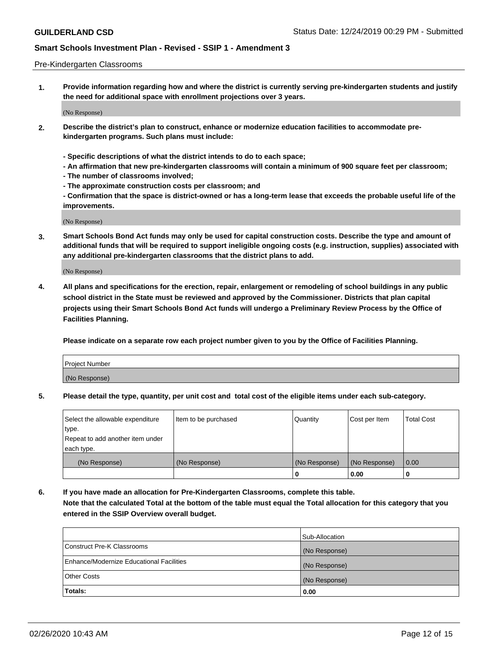#### Pre-Kindergarten Classrooms

**1. Provide information regarding how and where the district is currently serving pre-kindergarten students and justify the need for additional space with enrollment projections over 3 years.**

(No Response)

- **2. Describe the district's plan to construct, enhance or modernize education facilities to accommodate prekindergarten programs. Such plans must include:**
	- **Specific descriptions of what the district intends to do to each space;**
	- **An affirmation that new pre-kindergarten classrooms will contain a minimum of 900 square feet per classroom;**
	- **The number of classrooms involved;**
	- **The approximate construction costs per classroom; and**
	- **Confirmation that the space is district-owned or has a long-term lease that exceeds the probable useful life of the improvements.**

(No Response)

**3. Smart Schools Bond Act funds may only be used for capital construction costs. Describe the type and amount of additional funds that will be required to support ineligible ongoing costs (e.g. instruction, supplies) associated with any additional pre-kindergarten classrooms that the district plans to add.**

(No Response)

**4. All plans and specifications for the erection, repair, enlargement or remodeling of school buildings in any public school district in the State must be reviewed and approved by the Commissioner. Districts that plan capital projects using their Smart Schools Bond Act funds will undergo a Preliminary Review Process by the Office of Facilities Planning.**

**Please indicate on a separate row each project number given to you by the Office of Facilities Planning.**

| Project Number |  |
|----------------|--|
| (No Response)  |  |
|                |  |

**5. Please detail the type, quantity, per unit cost and total cost of the eligible items under each sub-category.**

| Select the allowable expenditure | Item to be purchased | Quantity      | Cost per Item | <b>Total Cost</b> |
|----------------------------------|----------------------|---------------|---------------|-------------------|
| type.                            |                      |               |               |                   |
| Repeat to add another item under |                      |               |               |                   |
| each type.                       |                      |               |               |                   |
| (No Response)                    | (No Response)        | (No Response) | (No Response) | 0.00              |
|                                  |                      | υ             | 0.00          |                   |

**6. If you have made an allocation for Pre-Kindergarten Classrooms, complete this table. Note that the calculated Total at the bottom of the table must equal the Total allocation for this category that you entered in the SSIP Overview overall budget.**

| Totals:                                  | 0.00           |
|------------------------------------------|----------------|
| <b>Other Costs</b>                       | (No Response)  |
| Enhance/Modernize Educational Facilities | (No Response)  |
| Construct Pre-K Classrooms               | (No Response)  |
|                                          | Sub-Allocation |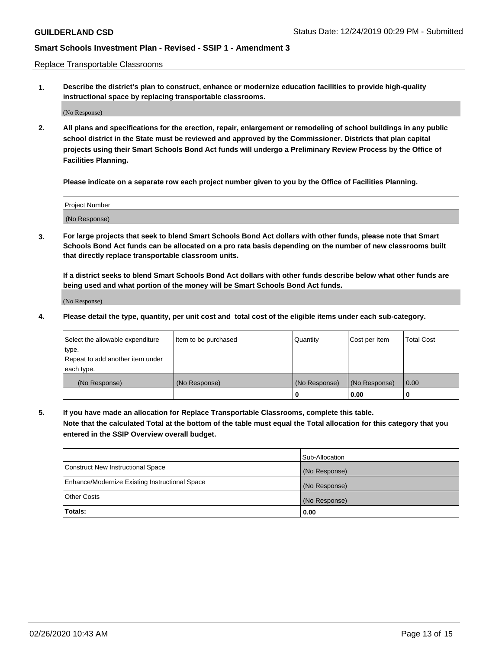Replace Transportable Classrooms

**1. Describe the district's plan to construct, enhance or modernize education facilities to provide high-quality instructional space by replacing transportable classrooms.**

(No Response)

**2. All plans and specifications for the erection, repair, enlargement or remodeling of school buildings in any public school district in the State must be reviewed and approved by the Commissioner. Districts that plan capital projects using their Smart Schools Bond Act funds will undergo a Preliminary Review Process by the Office of Facilities Planning.**

**Please indicate on a separate row each project number given to you by the Office of Facilities Planning.**

| Project Number |  |
|----------------|--|
|                |  |
|                |  |
|                |  |
| (No Response)  |  |
|                |  |
|                |  |

**3. For large projects that seek to blend Smart Schools Bond Act dollars with other funds, please note that Smart Schools Bond Act funds can be allocated on a pro rata basis depending on the number of new classrooms built that directly replace transportable classroom units.**

**If a district seeks to blend Smart Schools Bond Act dollars with other funds describe below what other funds are being used and what portion of the money will be Smart Schools Bond Act funds.**

(No Response)

**4. Please detail the type, quantity, per unit cost and total cost of the eligible items under each sub-category.**

| Select the allowable expenditure | Item to be purchased | Quantity      | Cost per Item | Total Cost |
|----------------------------------|----------------------|---------------|---------------|------------|
| ∣type.                           |                      |               |               |            |
| Repeat to add another item under |                      |               |               |            |
| each type.                       |                      |               |               |            |
| (No Response)                    | (No Response)        | (No Response) | (No Response) | 0.00       |
|                                  |                      | u             | 0.00          |            |

**5. If you have made an allocation for Replace Transportable Classrooms, complete this table. Note that the calculated Total at the bottom of the table must equal the Total allocation for this category that you entered in the SSIP Overview overall budget.**

|                                                | Sub-Allocation |
|------------------------------------------------|----------------|
| Construct New Instructional Space              | (No Response)  |
| Enhance/Modernize Existing Instructional Space | (No Response)  |
| Other Costs                                    | (No Response)  |
| Totals:                                        | 0.00           |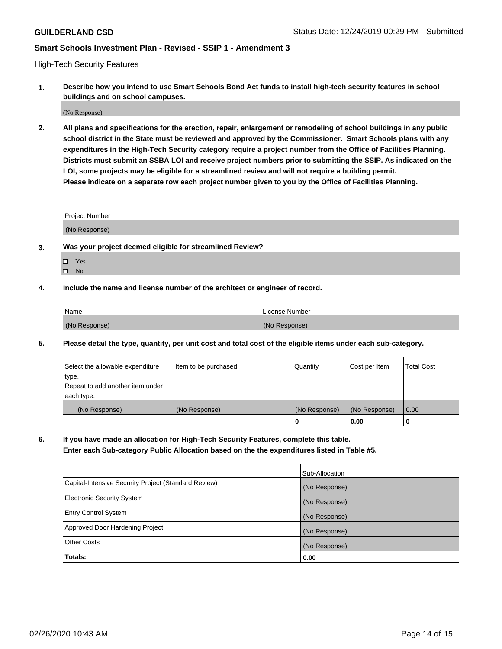High-Tech Security Features

**1. Describe how you intend to use Smart Schools Bond Act funds to install high-tech security features in school buildings and on school campuses.**

(No Response)

**2. All plans and specifications for the erection, repair, enlargement or remodeling of school buildings in any public school district in the State must be reviewed and approved by the Commissioner. Smart Schools plans with any expenditures in the High-Tech Security category require a project number from the Office of Facilities Planning. Districts must submit an SSBA LOI and receive project numbers prior to submitting the SSIP. As indicated on the LOI, some projects may be eligible for a streamlined review and will not require a building permit. Please indicate on a separate row each project number given to you by the Office of Facilities Planning.**

| <b>Project Number</b> |  |
|-----------------------|--|
| (No Response)         |  |

- **3. Was your project deemed eligible for streamlined Review?**
	- Yes
	- $\hfill \Box$  No
- **4. Include the name and license number of the architect or engineer of record.**

| Name          | License Number |
|---------------|----------------|
| (No Response) | (No Response)  |

**5. Please detail the type, quantity, per unit cost and total cost of the eligible items under each sub-category.**

| Select the allowable expenditure | Item to be purchased | Quantity      | Cost per Item | <b>Total Cost</b> |
|----------------------------------|----------------------|---------------|---------------|-------------------|
| type.                            |                      |               |               |                   |
| Repeat to add another item under |                      |               |               |                   |
| each type.                       |                      |               |               |                   |
| (No Response)                    | (No Response)        | (No Response) | (No Response) | 0.00              |
|                                  |                      | 0             | 0.00          |                   |

**6. If you have made an allocation for High-Tech Security Features, complete this table.**

**Enter each Sub-category Public Allocation based on the the expenditures listed in Table #5.**

|                                                      | Sub-Allocation |
|------------------------------------------------------|----------------|
| Capital-Intensive Security Project (Standard Review) | (No Response)  |
| <b>Electronic Security System</b>                    | (No Response)  |
| <b>Entry Control System</b>                          | (No Response)  |
| Approved Door Hardening Project                      | (No Response)  |
| <b>Other Costs</b>                                   | (No Response)  |
| Totals:                                              | 0.00           |